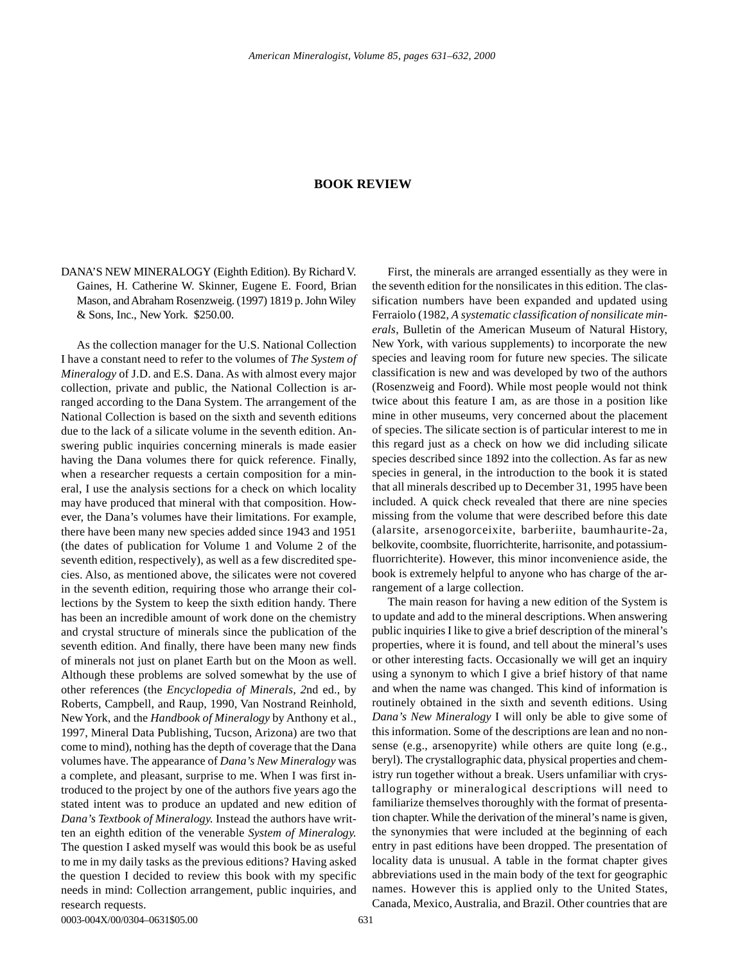## **BOOK REVIEW**

DANA'S NEW MINERALOGY (Eighth Edition). By Richard V. Gaines, H. Catherine W. Skinner, Eugene E. Foord, Brian Mason, and Abraham Rosenzweig. (1997) 1819 p. John Wiley & Sons, Inc., New York. \$250.00.

As the collection manager for the U.S. National Collection I have a constant need to refer to the volumes of *The System of Mineralogy* of J.D. and E.S. Dana. As with almost every major collection, private and public, the National Collection is arranged according to the Dana System. The arrangement of the National Collection is based on the sixth and seventh editions due to the lack of a silicate volume in the seventh edition. Answering public inquiries concerning minerals is made easier having the Dana volumes there for quick reference. Finally, when a researcher requests a certain composition for a mineral, I use the analysis sections for a check on which locality may have produced that mineral with that composition. However, the Dana's volumes have their limitations. For example, there have been many new species added since 1943 and 1951 (the dates of publication for Volume 1 and Volume 2 of the seventh edition, respectively), as well as a few discredited species. Also, as mentioned above, the silicates were not covered in the seventh edition, requiring those who arrange their collections by the System to keep the sixth edition handy. There has been an incredible amount of work done on the chemistry and crystal structure of minerals since the publication of the seventh edition. And finally, there have been many new finds of minerals not just on planet Earth but on the Moon as well. Although these problems are solved somewhat by the use of other references (the *Encyclopedia of Minerals, 2*nd ed., by Roberts, Campbell, and Raup, 1990, Van Nostrand Reinhold, New York, and the *Handbook of Mineralogy* by Anthony et al., 1997, Mineral Data Publishing, Tucson, Arizona) are two that come to mind), nothing has the depth of coverage that the Dana volumes have. The appearance of *Dana's New Mineralogy* was a complete, and pleasant, surprise to me. When I was first introduced to the project by one of the authors five years ago the stated intent was to produce an updated and new edition of *Dana's Textbook of Mineralogy.* Instead the authors have written an eighth edition of the venerable *System of Mineralogy.* The question I asked myself was would this book be as useful to me in my daily tasks as the previous editions? Having asked the question I decided to review this book with my specific needs in mind: Collection arrangement, public inquiries, and research requests.

First, the minerals are arranged essentially as they were in the seventh edition for the nonsilicates in this edition. The classification numbers have been expanded and updated using Ferraiolo (1982, *A systematic classification of nonsilicate minerals*, Bulletin of the American Museum of Natural History, New York, with various supplements) to incorporate the new species and leaving room for future new species. The silicate classification is new and was developed by two of the authors (Rosenzweig and Foord). While most people would not think twice about this feature I am, as are those in a position like mine in other museums, very concerned about the placement of species. The silicate section is of particular interest to me in this regard just as a check on how we did including silicate species described since 1892 into the collection. As far as new species in general, in the introduction to the book it is stated that all minerals described up to December 31, 1995 have been included. A quick check revealed that there are nine species missing from the volume that were described before this date (alarsite, arsenogorceixite, barberiite, baumhaurite-2a, belkovite, coombsite, fluorrichterite, harrisonite, and potassiumfluorrichterite). However, this minor inconvenience aside, the book is extremely helpful to anyone who has charge of the arrangement of a large collection.

The main reason for having a new edition of the System is to update and add to the mineral descriptions. When answering public inquiries I like to give a brief description of the mineral's properties, where it is found, and tell about the mineral's uses or other interesting facts. Occasionally we will get an inquiry using a synonym to which I give a brief history of that name and when the name was changed. This kind of information is routinely obtained in the sixth and seventh editions. Using *Dana's New Mineralogy* I will only be able to give some of this information. Some of the descriptions are lean and no nonsense (e.g., arsenopyrite) while others are quite long (e.g., beryl). The crystallographic data, physical properties and chemistry run together without a break. Users unfamiliar with crystallography or mineralogical descriptions will need to familiarize themselves thoroughly with the format of presentation chapter. While the derivation of the mineral's name is given, the synonymies that were included at the beginning of each entry in past editions have been dropped. The presentation of locality data is unusual. A table in the format chapter gives abbreviations used in the main body of the text for geographic names. However this is applied only to the United States, Canada, Mexico, Australia, and Brazil. Other countries that are